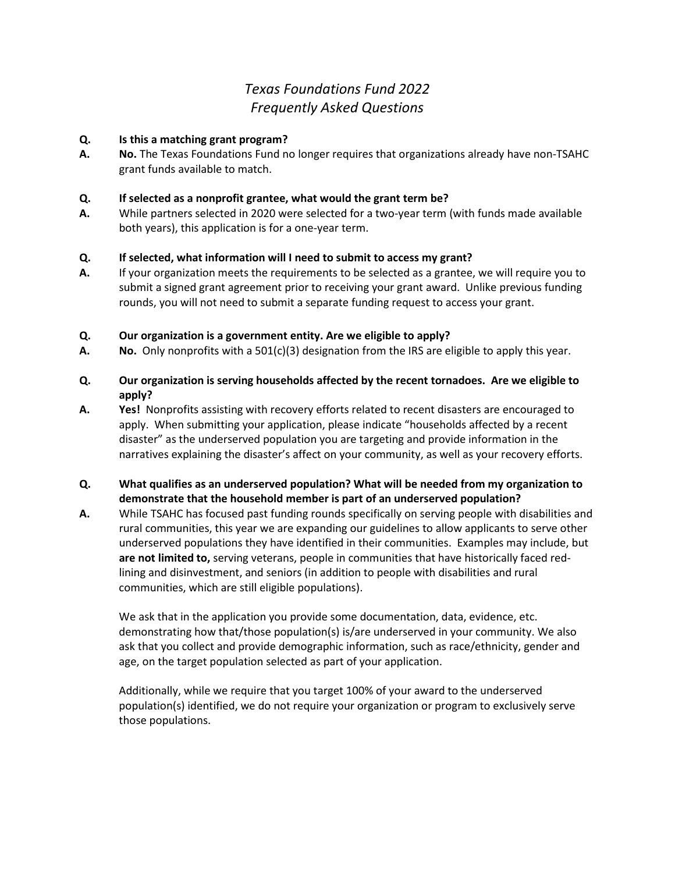# *Texas Foundations Fund 2022 Frequently Asked Questions*

# **Q. Is this a matching grant program?**

**A. No.** The Texas Foundations Fund no longer requires that organizations already have non-TSAHC grant funds available to match.

#### **Q. If selected as a nonprofit grantee, what would the grant term be?**

**A.** While partners selected in 2020 were selected for a two-year term (with funds made available both years), this application is for a one-year term.

# **Q. If selected, what information will I need to submit to access my grant?**

**A.** If your organization meets the requirements to be selected as a grantee, we will require you to submit a signed grant agreement prior to receiving your grant award. Unlike previous funding rounds, you will not need to submit a separate funding request to access your grant.

# **Q. Our organization is a government entity. Are we eligible to apply?**

- **A. No.** Only nonprofits with a 501(c)(3) designation from the IRS are eligible to apply this year.
- **Q. Our organization is serving households affected by the recent tornadoes. Are we eligible to apply?**
- **A. Yes!** Nonprofits assisting with recovery efforts related to recent disasters are encouraged to apply. When submitting your application, please indicate "households affected by a recent disaster" as the underserved population you are targeting and provide information in the narratives explaining the disaster's affect on your community, as well as your recovery efforts.

# **Q. What qualifies as an underserved population? What will be needed from my organization to demonstrate that the household member is part of an underserved population?**

**A.** While TSAHC has focused past funding rounds specifically on serving people with disabilities and rural communities, this year we are expanding our guidelines to allow applicants to serve other underserved populations they have identified in their communities. Examples may include, but **are not limited to,** serving veterans, people in communities that have historically faced redlining and disinvestment, and seniors (in addition to people with disabilities and rural communities, which are still eligible populations).

We ask that in the application you provide some documentation, data, evidence, etc. demonstrating how that/those population(s) is/are underserved in your community. We also ask that you collect and provide demographic information, such as race/ethnicity, gender and age, on the target population selected as part of your application.

Additionally, while we require that you target 100% of your award to the underserved population(s) identified, we do not require your organization or program to exclusively serve those populations.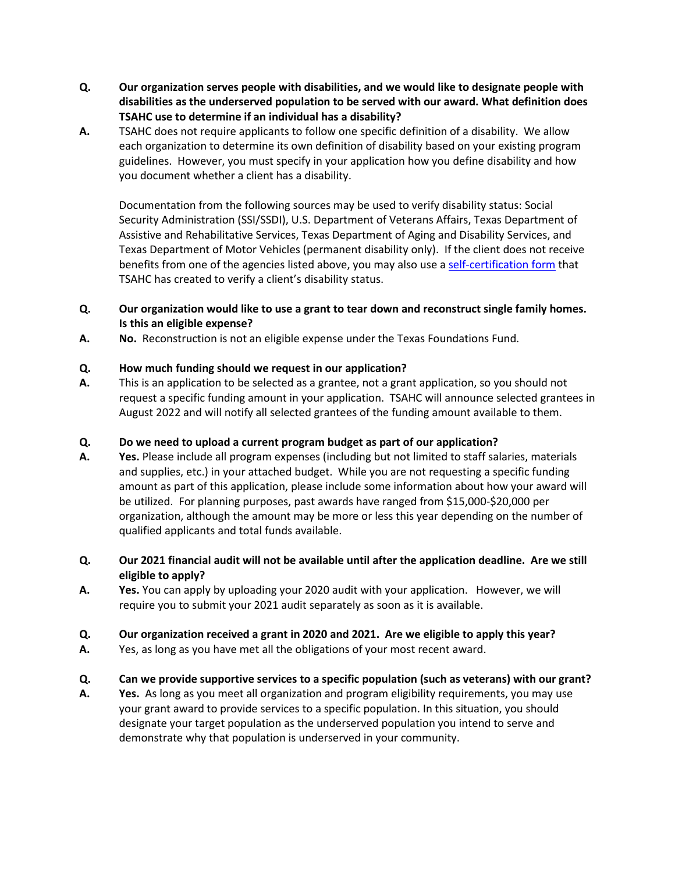- **Q. Our organization serves people with disabilities, and we would like to designate people with disabilities as the underserved population to be served with our award. What definition does TSAHC use to determine if an individual has a disability?**
- **A.** TSAHC does not require applicants to follow one specific definition of a disability. We allow each organization to determine its own definition of disability based on your existing program guidelines. However, you must specify in your application how you define disability and how you document whether a client has a disability.

Documentation from the following sources may be used to verify disability status: Social Security Administration (SSI/SSDI), U.S. Department of Veterans Affairs, Texas Department of Assistive and Rehabilitative Services, Texas Department of Aging and Disability Services, and Texas Department of Motor Vehicles (permanent disability only). If the client does not receive benefits from one of the agencies listed above, you may also use a [self-certification form](http://www.tsahc.org/public/upload/files/general/Disability_Self_Certification_Form_Texas_Foundations_Fund.pdf) that TSAHC has created to verify a client's disability status.

- **Q. Our organization would like to use a grant to tear down and reconstruct single family homes. Is this an eligible expense?**
- **A. No.** Reconstruction is not an eligible expense under the Texas Foundations Fund.

# **Q. How much funding should we request in our application?**

**A.** This is an application to be selected as a grantee, not a grant application, so you should not request a specific funding amount in your application. TSAHC will announce selected grantees in August 2022 and will notify all selected grantees of the funding amount available to them.

#### **Q. Do we need to upload a current program budget as part of our application?**

- **A. Yes.** Please include all program expenses (including but not limited to staff salaries, materials and supplies, etc.) in your attached budget. While you are not requesting a specific funding amount as part of this application, please include some information about how your award will be utilized. For planning purposes, past awards have ranged from \$15,000-\$20,000 per organization, although the amount may be more or less this year depending on the number of qualified applicants and total funds available.
- **Q. Our 2021 financial audit will not be available until after the application deadline. Are we still eligible to apply?**
- **A. Yes.** You can apply by uploading your 2020 audit with your application. However, we will require you to submit your 2021 audit separately as soon as it is available.
- **Q. Our organization received a grant in 2020 and 2021. Are we eligible to apply this year?**
- **A.** Yes, as long as you have met all the obligations of your most recent award.

#### **Q. Can we provide supportive services to a specific population (such as veterans) with our grant?**

**A. Yes.** As long as you meet all organization and program eligibility requirements, you may use your grant award to provide services to a specific population. In this situation, you should designate your target population as the underserved population you intend to serve and demonstrate why that population is underserved in your community.